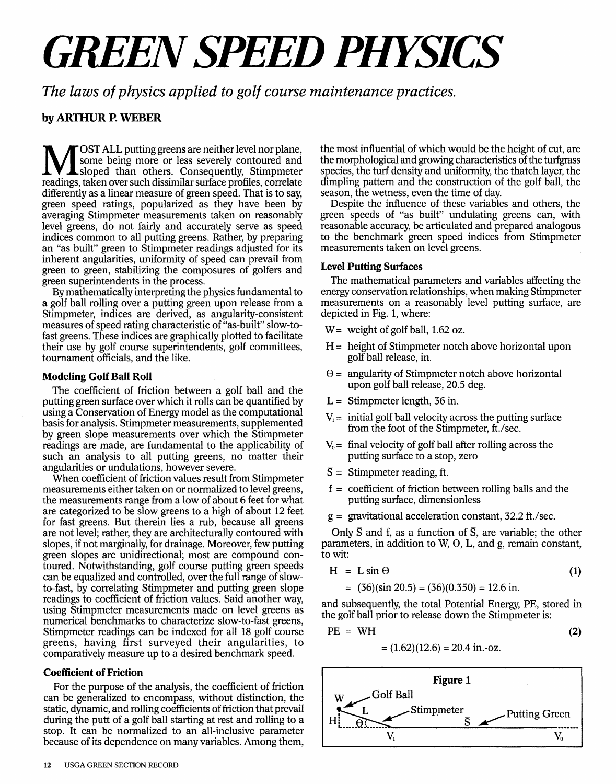# *GREEN SPEED PHYSICS*

*The laws of physics applied to golf course maintenance practices.* 

## **by ARTHUR R WEBER**

**M** OST ALL putting greens are neither level nor plane, Some being more or less severely contoured and sloped than others. Consequently, Stimpmeter readings, taken over such dissimilar surface profiles, correlate OST ALL putting greens are neither level nor plane, some being more or less severely contoured and sloped than others. Consequently, Stimpmeter differently as a linear measure of green speed. That is to say, green speed ratings, popularized as they have been by averaging Stimpmeter measurements taken on reasonably level greens, do not fairly and accurately serve as speed indices common to all putting greens. Rather, by preparing an "as built" green to Stimpmeter readings adjusted for its inherent angularities, uniformity of speed can prevail from green to green, stabilizing the composures of golfers and green superintendents in the process.

By mathematically interpreting the physics fundamental to a golf ball rolling over a putting green upon release from a Stimpmeter, indices are derived, as angularity-consistent measures of speed rating characteristic of "as-built" slow-tofast greens. These indices are graphically plotted to facilitate their use by golf course superintendents, golf committees, tournament officials, and the like.

## **Modeling Golf Ball Roll**

The coefficient of friction between a golf ball and the putting green surface over which it rolls can be quantified by using a Conservation of Energy model as the computational basis for analysis. Stimpmeter measurements, supplemented by green slope measurements over which the Stimpmeter readings are made, are fundamental to the applicability of such an analysis to all putting greens, no matter their angularities or undulations, however severe.

When coefficient of friction values result from Stimpmeter measurements either taken on or normalized to level greens, the measurements range from a low of about 6 feet for what are categorized to be slow greens to a high of about 12 feet for fast greens. But therein lies a rub, because all greens are not level; rather, they are architecturally contoured with slopes, if not marginally, for drainage. Moreover, few putting green slopes are unidirectional; most are compound contoured. Notwithstanding, golf course putting green speeds can be equalized and controlled, over the full range of slowto-fast, by correlating Stimpmeter and putting green slope readings to coefficient of friction values. Said another way, using Stimpmeter measurements made on level greens as numerical benchmarks to characterize slow-to-fast greens, Stimpmeter readings can be indexed for all 18 golf course greens, having first surveyed their angularities, to comparatively measure up to a desired benchmark speed.

## **Coefficient of Friction**

For the purpose of the analysis, the coefficient of friction can be generalized to encompass, without distinction, the static, dynamic, and rolling coefficients of friction that prevail during the putt of a golf ball starting at rest and rolling to a stop. It can be normalized to an all-inclusive parameter because of its dependence on many variables. Among them,

the most influential of which would be the height of cut, are the morphological and growing characteristics of the turfgrass species, the turf density and uniformity, the thatch layer, the dimpling pattern and the construction of the golf ball, the season, the wetness, even the time of day.

Despite the influence of these variables and others, the green speeds of "as built" undulating greens can, with reasonable accuracy, be articulated and prepared analogous to the benchmark green speed indices from Stimpmeter measurements taken on level greens.

## **Level Putting Surfaces**

The mathematical parameters and variables affecting the energy conservation relationships, when making Stimpmeter measurements on a reasonably level putting surface, are depicted in Fig. 1, where:

- W = weight of golf ball,  $1.62 \text{ oz}$ .
- $H =$  height of Stimpmeter notch above horizontal upon golf ball release, in.
- $\theta$  = angularity of Stimpmeter notch above horizontal upon golf ball release, 20.5 deg.
- $L =$  Stimpmeter length, 36 in.
- $V_1$  = initial golf ball velocity across the putting surface from the foot of the Stimpmeter, ft./sec.
- $V_0$  = final velocity of golf ball after rolling across the putting surface to a stop, zero
- $\overline{S}$  = Stimpmeter reading, ft.
- $f =$  coefficient of friction between rolling balls and the putting surface, dimensionless
- $g =$  gravitational acceleration constant, 32.2 ft./sec.

Only  $\bar{S}$  and f, as a function of  $\bar{S}$ , are variable; the other parameters, in addition to W,  $\Theta$ , L, and g, remain constant, to wit:

$$
H = L \sin \Theta \tag{1}
$$

$$
= (36)(\sin 20.5) = (36)(0.350) = 12.6 \text{ in.}
$$

and subsequently, the total Potential Energy, PE, stored in the golf ball prior to release down the Stimpmeter is:

$$
PE = WH \tag{2}
$$

$$
= (1.62)(12.6) = 20.4 \text{ in.-oz.}
$$

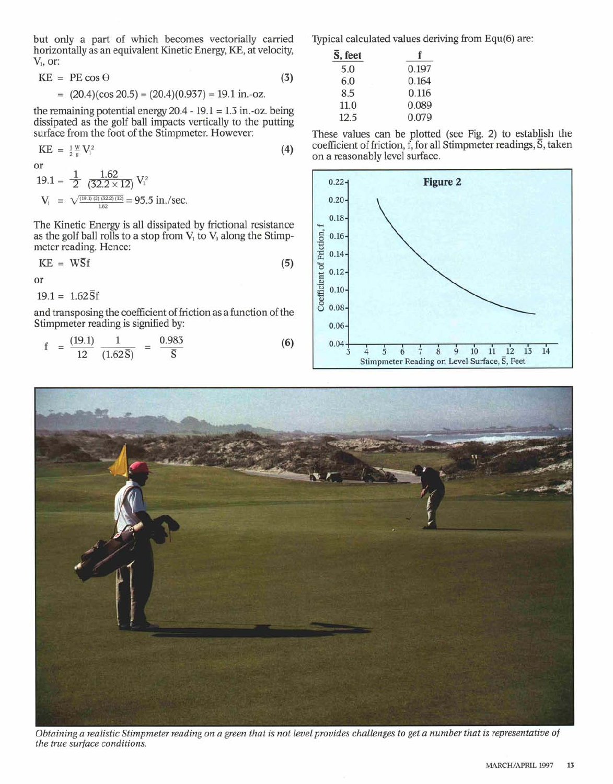but only a part of which becomes vectorially carried horizontally as an equivalent Kinetic Energy, KE, at velocity,  $V_1$ , or:

$$
KE = PE \cos \Theta \tag{3}
$$

 $=(20.4)(\cos 20.5) = (20.4)(0.937) = 19.1 \text{ in.-oz.}$ 

the remaining potential energy  $20.4 - 19.1 = 1.3$  in.-oz. being dissipated as the golf ball impacts vertically to the putting surface from the foot of the Stimpmeter. However:

KE = 
$$
\frac{1}{2} \frac{w}{g} V_1^2
$$
 (4)  
or  
19.1 =  $\frac{1}{2} \frac{1.62}{(32.2 \times 12)} V_1^2$   
 $V_1 = \sqrt{\frac{(19.1)(2)(32.2)(12)}{1.62}} = 95.5 \text{ in./sec.}$ 

The Kinetic Energy is all dissipated by frictional resistance as the golf ball rolls to a stop from  $V_1$  to  $V_0$  along the Stimpmeter reading. Hence:

$$
KE = WSf \tag{5}
$$

or

 $19.1 = 1.62\overline{S}f$ 

and transposing the coefficient of friction as a function of the Stimpmeter reading is signified by:

$$
f = \frac{(19.1)}{12} \frac{1}{(1.62\overline{S})} = \frac{0.983}{\overline{S}}
$$
 (6)

Typical calculated values deriving from Equ(6) are:

| $\overline{S}$ , feet |       |  |  |
|-----------------------|-------|--|--|
| 5.0                   | 0.197 |  |  |
| 6.0                   | 0.164 |  |  |
| 8.5                   | 0.116 |  |  |
| 11.0                  | 0.089 |  |  |
| 12.5                  | 0.079 |  |  |

These values can be plotted (see Fig. 2) to establish the coefficient of friction, f, for all Stimpmeter readings,  $\overline{S}$ , taken on a reasonably level surface.





Obtaining a realistic Stimpmeter reading on a green that is not level provides challenges to get a number that is representative of *the true surface conditions.*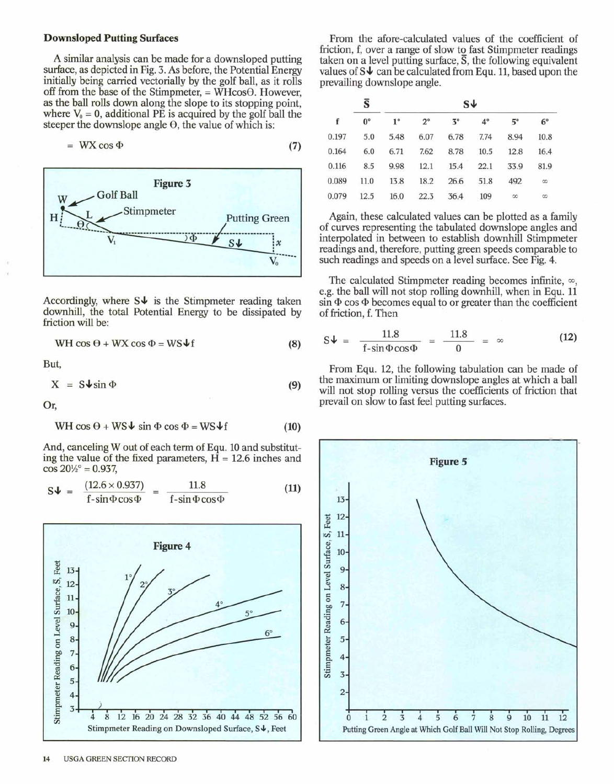#### Downsloped Putting Surfaces

A similar analysis can be made for a downsloped putting surface, as depicted in Fig. 3. As before, the Potential Energy initially being carried vectorially by the golf ball, as it rolls off from the base of the Stimpmeter,  $=$  WHcos $\Theta$ . However, as the ball rolls down along the slope to its stopping point, where  $V_0 = 0$ , additional PE is acquired by the golf ball the steeper the downslope angle  $\Theta$ , the value of which is:

$$
= \, \text{WX} \cos \Phi \tag{7}
$$



Accordingly, where  $S\psi$  is the Stimpmeter reading taken downhill, the total Potential Energy to be dissipated by friction will be:

$$
WH \cos \theta + WX \cos \Phi = WS \blacklozenge f \tag{8}
$$

But,

$$
X = S \psi \sin \Phi \tag{9}
$$

Or,

$$
WH \cos \theta + WS\psi \sin \Phi \cos \Phi = WS\psi f \tag{10}
$$

And, canceling W out of each term of Equ. 10 and substituting the value of the fixed parameters,  $H = 12.6$  inches and  $\cos 20\frac{1}{2}$ ° = 0.937,

$$
S\psi = \frac{(12.6 \times 0.937)}{f - \sin \Phi \cos \Phi} = \frac{11.8}{f - \sin \Phi \cos \Phi}
$$
 (11)



From the afore-calculated values of the coefficient of friction, f, over a range of slow to fast Stimpmeter readings taken on a level putting surface,  $\overline{S}$ , the following equivalent values of  $S\downarrow$  can be calculated from Equ. 11, based upon the prevailing downslope angle.

| Ŝ           |             |             |           |             |               |             |
|-------------|-------------|-------------|-----------|-------------|---------------|-------------|
| $0^{\circ}$ | $1^{\circ}$ | $2^{\circ}$ | $3^\circ$ | $4^{\circ}$ | $5^\circ$     | $6^{\circ}$ |
| 5.0         | 5.48        | 6.07        | 6.78      | 7.74        | 8.94          | 10.8        |
| 6.0         | 6.71        | 7.62        | 8.78      | 10.5        | 12.8          | 16.4        |
| 8.5         | 9.98        | 12.1        | 15.4      | 22.1        | 33.9          | 81.9        |
| 11.0        | 13.8        | 18.2        | 26.6      | 51.8        | 492           | $^{\circ}$  |
| 12.5        | 16.0        | 22.3        | 36.4      | 109         | $\infty$      | $\infty$    |
|             |             |             |           |             | $s\downarrow$ |             |

Again, these calculated values can be plotted as a family of curves representing the tabulated downslope angles and interpolated in between to establish downhill Stimpmeter readings and, therefore, putting green speeds comparable to such readings and speeds on a level surface. See Fig. 4.

The calculated Stimpmeter reading becomes infinite,  $\infty$ , e.g. the ball will not stop rolling downhill, when in Equ. 11  $\sin \Phi \cos \Phi$  becomes equal to or greater than the coefficient of friction, f. Then

$$
S\psi = \frac{11.8}{f - \sin \Phi \cos \Phi} = \frac{11.8}{0} = \infty
$$
 (12)

From Equ. 12, the following tabulation can be made of the maximum or limiting downslope angles at which a ball will not stop rolling versus the coefficients of friction that prevail on slow to fast feel putting surfaces.